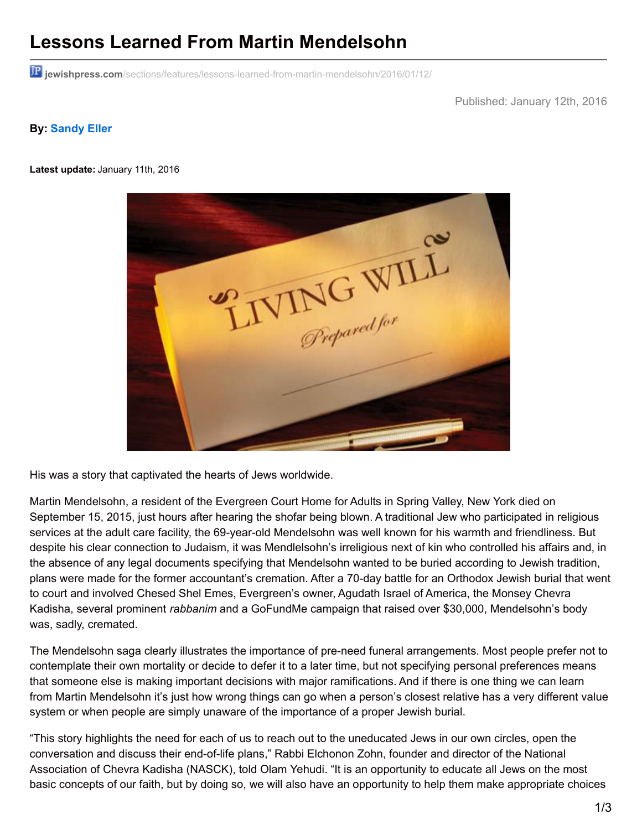## **Lessons Learned From Martin Mendelsohn**

**jewishpress.com**[/sections/features/lessons-learned-from-martin-mendelsohn/2016/01/12/](http://www.jewishpress.com/sections/features/lessons-learned-from-martin-mendelsohn/2016/01/12/)

Published: January 12th, 2016

## **By: [Sandy](http://www.jewishpress.com/author/sandyeller/) Eller**

**Latest update:** January 11th, 2016



His was a story that captivated the hearts of Jews worldwide.

Martin Mendelsohn, a resident of the Evergreen Court Home for Adults in Spring Valley, New York died on September 15, 2015, just hours after hearing the shofar being blown. A traditional Jew who participated in religious services at the adult care facility, the 69-year-old Mendelsohn was well known for his warmth and friendliness. But despite his clear connection to Judaism, it was Mendlelsohn's irreligious next of kin who controlled his affairs and, in the absence of any legal documents specifying that Mendelsohn wanted to be buried according to Jewish tradition, plans were made for the former accountant's cremation. After a 70-day battle for an Orthodox Jewish burial that went to court and involved Chesed Shel Emes, Evergreen's owner, Agudath Israel of America, the Monsey Chevra Kadisha, several prominent *rabbanim* and a GoFundMe campaign that raised over \$30,000, Mendelsohn's body was, sadly, cremated.

The Mendelsohn saga clearly illustrates the importance of pre-need funeral arrangements. Most people prefer not to contemplate their own mortality or decide to defer it to a later time, but not specifying personal preferences means that someone else is making important decisions with major ramifications. And if there is one thing we can learn from Martin Mendelsohn it's just how wrong things can go when a person's closest relative has a very different value system or when people are simply unaware of the importance of a proper Jewish burial.

"This story highlights the need for each of us to reach out to the uneducated Jews in our own circles, open the conversation and discuss their end-of-life plans," Rabbi Elchonon Zohn, founder and director of the National Association of Chevra Kadisha (NASCK), told Olam Yehudi. "It is an opportunity to educate all Jews on the most basic concepts of our faith, but by doing so, we will also have an opportunity to help them make appropriate choices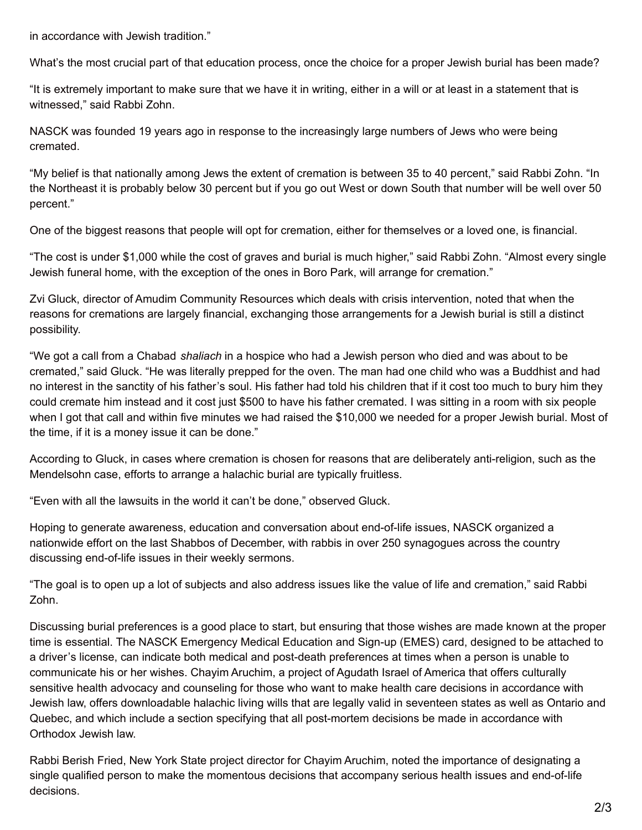in accordance with Jewish tradition."

What's the most crucial part of that education process, once the choice for a proper Jewish burial has been made?

"It is extremely important to make sure that we have it in writing, either in a will or at least in a statement that is witnessed," said Rabbi Zohn.

NASCK was founded 19 years ago in response to the increasingly large numbers of Jews who were being cremated.

"My belief is that nationally among Jews the extent of cremation is between 35 to 40 percent," said Rabbi Zohn. "In the Northeast it is probably below 30 percent but if you go out West or down South that number will be well over 50 percent."

One of the biggest reasons that people will opt for cremation, either for themselves or a loved one, is financial.

"The cost is under \$1,000 while the cost of graves and burial is much higher," said Rabbi Zohn. "Almost every single Jewish funeral home, with the exception of the ones in Boro Park, will arrange for cremation."

Zvi Gluck, director of Amudim Community Resources which deals with crisis intervention, noted that when the reasons for cremations are largely financial, exchanging those arrangements for a Jewish burial is still a distinct possibility.

"We got a call from a Chabad *shaliach* in a hospice who had a Jewish person who died and was about to be cremated," said Gluck. "He was literally prepped for the oven. The man had one child who was a Buddhist and had no interest in the sanctity of his father's soul. His father had told his children that if it cost too much to bury him they could cremate him instead and it cost just \$500 to have his father cremated. I was sitting in a room with six people when I got that call and within five minutes we had raised the \$10,000 we needed for a proper Jewish burial. Most of the time, if it is a money issue it can be done."

According to Gluck, in cases where cremation is chosen for reasons that are deliberately anti-religion, such as the Mendelsohn case, efforts to arrange a halachic burial are typically fruitless.

"Even with all the lawsuits in the world it can't be done," observed Gluck.

Hoping to generate awareness, education and conversation about end-of-life issues, NASCK organized a nationwide effort on the last Shabbos of December, with rabbis in over 250 synagogues across the country discussing end-of-life issues in their weekly sermons.

"The goal is to open up a lot of subjects and also address issues like the value of life and cremation," said Rabbi Zohn.

Discussing burial preferences is a good place to start, but ensuring that those wishes are made known at the proper time is essential. The NASCK Emergency Medical Education and Sign-up (EMES) card, designed to be attached to a driver's license, can indicate both medical and post-death preferences at times when a person is unable to communicate his or her wishes. Chayim Aruchim, a project of Agudath Israel of America that offers culturally sensitive health advocacy and counseling for those who want to make health care decisions in accordance with Jewish law, offers downloadable halachic living wills that are legally valid in seventeen states as well as Ontario and Quebec, and which include a section specifying that all post-mortem decisions be made in accordance with Orthodox Jewish law.

Rabbi Berish Fried, New York State project director for Chayim Aruchim, noted the importance of designating a single qualified person to make the momentous decisions that accompany serious health issues and end-of-life decisions.